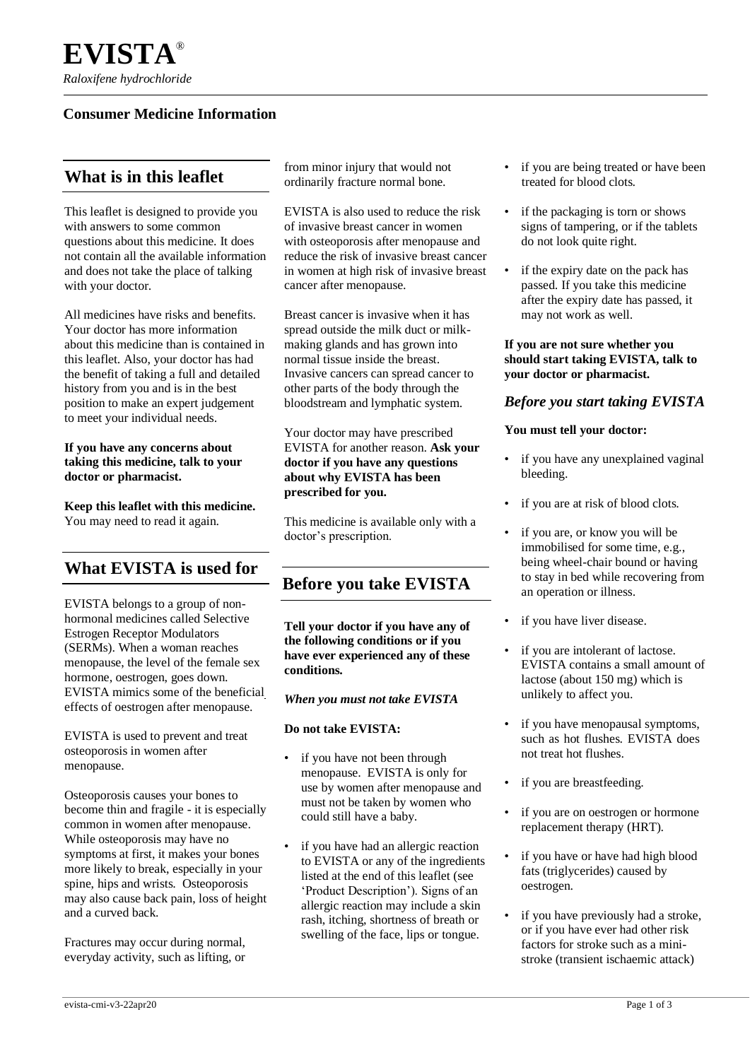### **Consumer Medicine Information**

## **What is in this leaflet**

This leaflet is designed to provide you with answers to some common questions about this medicine. It does not contain all the available information and does not take the place of talking with your doctor.

All medicines have risks and benefits. Your doctor has more information about this medicine than is contained in this leaflet. Also, your doctor has had the benefit of taking a full and detailed history from you and is in the best position to make an expert judgement to meet your individual needs.

#### **If you have any concerns about taking this medicine, talk to your doctor or pharmacist.**

**Keep this leaflet with this medicine.** You may need to read it again.

## **What EVISTA is used for**

EVISTA belongs to a group of nonhormonal medicines called Selective Estrogen Receptor Modulators (SERMs). When a woman reaches menopause, the level of the female sex hormone, oestrogen, goes down. EVISTA mimics some of the beneficial effects of oestrogen after menopause.

EVISTA is used to prevent and treat osteoporosis in women after menopause.

Osteoporosis causes your bones to become thin and fragile - it is especially common in women after menopause. While osteoporosis may have no symptoms at first, it makes your bones more likely to break, especially in your spine, hips and wrists. Osteoporosis may also cause back pain, loss of height and a curved back.

Fractures may occur during normal, everyday activity, such as lifting, or from minor injury that would not ordinarily fracture normal bone.

EVISTA is also used to reduce the risk of invasive breast cancer in women with osteoporosis after menopause and reduce the risk of invasive breast cancer in women at high risk of invasive breast cancer after menopause.

Breast cancer is invasive when it has spread outside the milk duct or milkmaking glands and has grown into normal tissue inside the breast. Invasive cancers can spread cancer to other parts of the body through the bloodstream and lymphatic system.

Your doctor may have prescribed EVISTA for another reason. **Ask your doctor if you have any questions about why EVISTA has been prescribed for you.**

This medicine is available only with a doctor's prescription.

## **Before you take EVISTA**

**Tell your doctor if you have any of the following conditions or if you have ever experienced any of these conditions.**

*When you must not take EVISTA*

#### **Do not take EVISTA:**

- if you have not been through menopause. EVISTA is only for use by women after menopause and must not be taken by women who could still have a baby.
- if you have had an allergic reaction to EVISTA or any of the ingredients listed at the end of this leaflet (see 'Product Description'). Signs of an allergic reaction may include a skin rash, itching, shortness of breath or swelling of the face, lips or tongue.
- if you are being treated or have been treated for blood clots.
- if the packaging is torn or shows signs of tampering, or if the tablets do not look quite right.
- if the expiry date on the pack has passed. If you take this medicine after the expiry date has passed, it may not work as well.

#### **If you are not sure whether you should start taking EVISTA, talk to your doctor or pharmacist.**

### *Before you start taking EVISTA*

#### **You must tell your doctor:**

- if you have any unexplained vaginal bleeding.
- if you are at risk of blood clots.
- if you are, or know you will be immobilised for some time, e.g., being wheel-chair bound or having to stay in bed while recovering from an operation or illness.
- if you have liver disease.
- if you are intolerant of lactose. EVISTA contains a small amount of lactose (about 150 mg) which is unlikely to affect you.
- if you have menopausal symptoms, such as hot flushes. EVISTA does not treat hot flushes.
- if you are breastfeeding.
- if you are on oestrogen or hormone replacement therapy (HRT).
- if you have or have had high blood fats (triglycerides) caused by oestrogen.
- if you have previously had a stroke, or if you have ever had other risk factors for stroke such as a ministroke (transient ischaemic attack)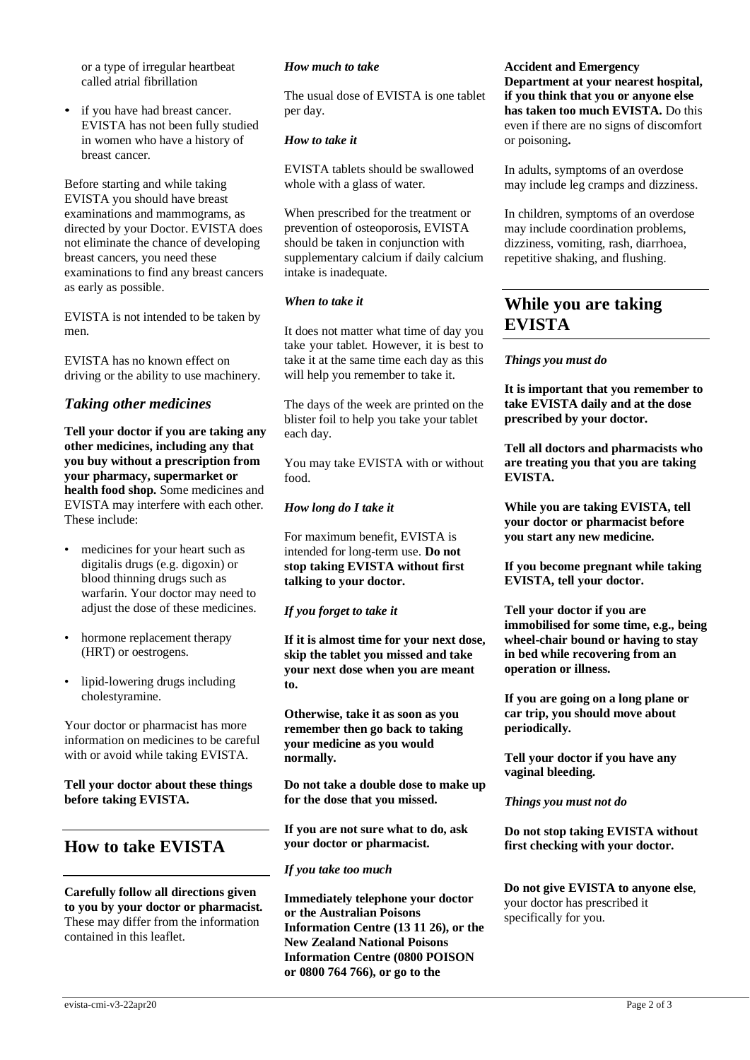or a type of irregular heartbeat called atrial fibrillation

• if you have had breast cancer. EVISTA has not been fully studied in women who have a history of breast cancer.

Before starting and while taking EVISTA you should have breast examinations and mammograms, as directed by your Doctor. EVISTA does not eliminate the chance of developing breast cancers, you need these examinations to find any breast cancers as early as possible.

EVISTA is not intended to be taken by men.

EVISTA has no known effect on driving or the ability to use machinery.

### *Taking other medicines*

**Tell your doctor if you are taking any other medicines, including any that you buy without a prescription from your pharmacy, supermarket or health food shop.** Some medicines and EVISTA may interfere with each other. These include:

- medicines for your heart such as digitalis drugs (e.g. digoxin) or blood thinning drugs such as warfarin. Your doctor may need to adjust the dose of these medicines.
- hormone replacement therapy (HRT) or oestrogens.
- lipid-lowering drugs including cholestyramine.

Your doctor or pharmacist has more information on medicines to be careful with or avoid while taking EVISTA.

#### **Tell your doctor about these things before taking EVISTA.**

## **How to take EVISTA**

**Carefully follow all directions given to you by your doctor or pharmacist.**  These may differ from the information contained in this leaflet.

#### *How much to take*

The usual dose of EVISTA is one tablet per day.

#### *How to take it*

EVISTA tablets should be swallowed whole with a glass of water.

When prescribed for the treatment or prevention of osteoporosis, EVISTA should be taken in conjunction with supplementary calcium if daily calcium intake is inadequate.

### *When to take it*

It does not matter what time of day you take your tablet. However, it is best to take it at the same time each day as this will help you remember to take it.

The days of the week are printed on the blister foil to help you take your tablet each day.

You may take EVISTA with or without food.

### *How long do I take it*

For maximum benefit, EVISTA is intended for long-term use. **Do not stop taking EVISTA without first talking to your doctor.**

#### *If you forget to take it*

**If it is almost time for your next dose, skip the tablet you missed and take your next dose when you are meant to.**

**Otherwise, take it as soon as you remember then go back to taking your medicine as you would normally.**

**Do not take a double dose to make up for the dose that you missed.**

**If you are not sure what to do, ask your doctor or pharmacist.**

### *If you take too much*

**Immediately telephone your doctor or the Australian Poisons Information Centre (13 11 26), or the New Zealand National Poisons Information Centre (0800 POISON or 0800 764 766), or go to the**

#### **Accident and Emergency Department at your nearest hospital, if you think that you or anyone else has taken too much EVISTA.** Do this even if there are no signs of discomfort or poisoning**.**

In adults, symptoms of an overdose may include leg cramps and dizziness.

In children, symptoms of an overdose may include coordination problems, dizziness, vomiting, rash, diarrhoea, repetitive shaking, and flushing.

# **While you are taking EVISTA**

#### *Things you must do*

**It is important that you remember to take EVISTA daily and at the dose prescribed by your doctor.**

**Tell all doctors and pharmacists who are treating you that you are taking EVISTA.**

**While you are taking EVISTA, tell your doctor or pharmacist before you start any new medicine.**

**If you become pregnant while taking EVISTA, tell your doctor.**

**Tell your doctor if you are immobilised for some time, e.g., being wheel-chair bound or having to stay in bed while recovering from an operation or illness.**

**If you are going on a long plane or car trip, you should move about periodically.**

**Tell your doctor if you have any vaginal bleeding.**

#### *Things you must not do*

**Do not stop taking EVISTA without first checking with your doctor.**

**Do not give EVISTA to anyone else**, your doctor has prescribed it specifically for you.